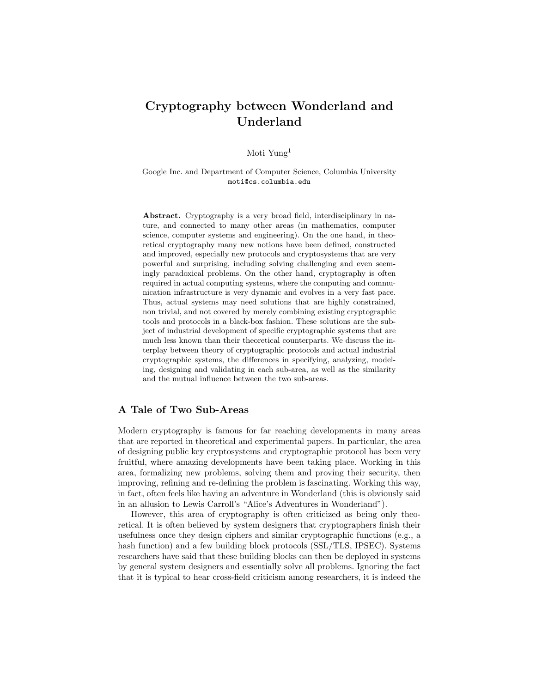## Cryptography between Wonderland and Underland

Moti Yung<sup>1</sup>

Google Inc. and Department of Computer Science, Columbia University moti@cs.columbia.edu

Abstract. Cryptography is a very broad field, interdisciplinary in nature, and connected to many other areas (in mathematics, computer science, computer systems and engineering). On the one hand, in theoretical cryptography many new notions have been defined, constructed and improved, especially new protocols and cryptosystems that are very powerful and surprising, including solving challenging and even seemingly paradoxical problems. On the other hand, cryptography is often required in actual computing systems, where the computing and communication infrastructure is very dynamic and evolves in a very fast pace. Thus, actual systems may need solutions that are highly constrained, non trivial, and not covered by merely combining existing cryptographic tools and protocols in a black-box fashion. These solutions are the subject of industrial development of specific cryptographic systems that are much less known than their theoretical counterparts. We discuss the interplay between theory of cryptographic protocols and actual industrial cryptographic systems, the differences in specifying, analyzing, modeling, designing and validating in each sub-area, as well as the similarity and the mutual influence between the two sub-areas.

## A Tale of Two Sub-Areas

Modern cryptography is famous for far reaching developments in many areas that are reported in theoretical and experimental papers. In particular, the area of designing public key cryptosystems and cryptographic protocol has been very fruitful, where amazing developments have been taking place. Working in this area, formalizing new problems, solving them and proving their security, then improving, refining and re-defining the problem is fascinating. Working this way, in fact, often feels like having an adventure in Wonderland (this is obviously said in an allusion to Lewis Carroll's "Alice's Adventures in Wonderland").

However, this area of cryptography is often criticized as being only theoretical. It is often believed by system designers that cryptographers finish their usefulness once they design ciphers and similar cryptographic functions (e.g., a hash function) and a few building block protocols (SSL/TLS, IPSEC). Systems researchers have said that these building blocks can then be deployed in systems by general system designers and essentially solve all problems. Ignoring the fact that it is typical to hear cross-field criticism among researchers, it is indeed the